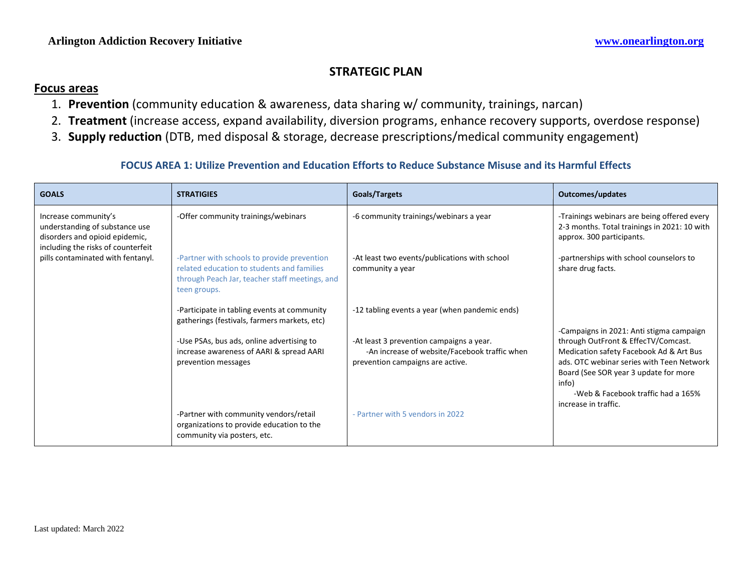## **STRATEGIC PLAN**

#### **Focus areas**

- 1. **Prevention** (community education & awareness, data sharing w/ community, trainings, narcan)
- 2. **Treatment** (increase access, expand availability, diversion programs, enhance recovery supports, overdose response)
- 3. **Supply reduction** (DTB, med disposal & storage, decrease prescriptions/medical community engagement)

#### **FOCUS AREA 1: Utilize Prevention and Education Efforts to Reduce Substance Misuse and its Harmful Effects**

| <b>GOALS</b>                                                                                                                                                        | <b>STRATIGIES</b>                                                                                                                                           | Goals/Targets                                                                                                                 | <b>Outcomes/updates</b>                                                                                                                                                                                                                                                                 |
|---------------------------------------------------------------------------------------------------------------------------------------------------------------------|-------------------------------------------------------------------------------------------------------------------------------------------------------------|-------------------------------------------------------------------------------------------------------------------------------|-----------------------------------------------------------------------------------------------------------------------------------------------------------------------------------------------------------------------------------------------------------------------------------------|
| Increase community's<br>understanding of substance use<br>disorders and opioid epidemic,<br>including the risks of counterfeit<br>pills contaminated with fentanyl. | -Offer community trainings/webinars                                                                                                                         | -6 community trainings/webinars a year                                                                                        | -Trainings webinars are being offered every<br>2-3 months. Total trainings in 2021: 10 with<br>approx. 300 participants.                                                                                                                                                                |
|                                                                                                                                                                     | -Partner with schools to provide prevention<br>related education to students and families<br>through Peach Jar, teacher staff meetings, and<br>teen groups. | -At least two events/publications with school<br>community a year                                                             | -partnerships with school counselors to<br>share drug facts.                                                                                                                                                                                                                            |
|                                                                                                                                                                     | -Participate in tabling events at community<br>gatherings (festivals, farmers markets, etc)                                                                 | -12 tabling events a year (when pandemic ends)                                                                                | -Campaigns in 2021: Anti stigma campaign<br>through OutFront & EffecTV/Comcast.<br>Medication safety Facebook Ad & Art Bus<br>ads. OTC webinar series with Teen Network<br>Board (See SOR year 3 update for more<br>info)<br>-Web & Facebook traffic had a 165%<br>increase in traffic. |
|                                                                                                                                                                     | -Use PSAs, bus ads, online advertising to<br>increase awareness of AARI & spread AARI<br>prevention messages                                                | -At least 3 prevention campaigns a year.<br>-An increase of website/Facebook traffic when<br>prevention campaigns are active. |                                                                                                                                                                                                                                                                                         |
|                                                                                                                                                                     | -Partner with community vendors/retail<br>organizations to provide education to the<br>community via posters, etc.                                          | - Partner with 5 vendors in 2022                                                                                              |                                                                                                                                                                                                                                                                                         |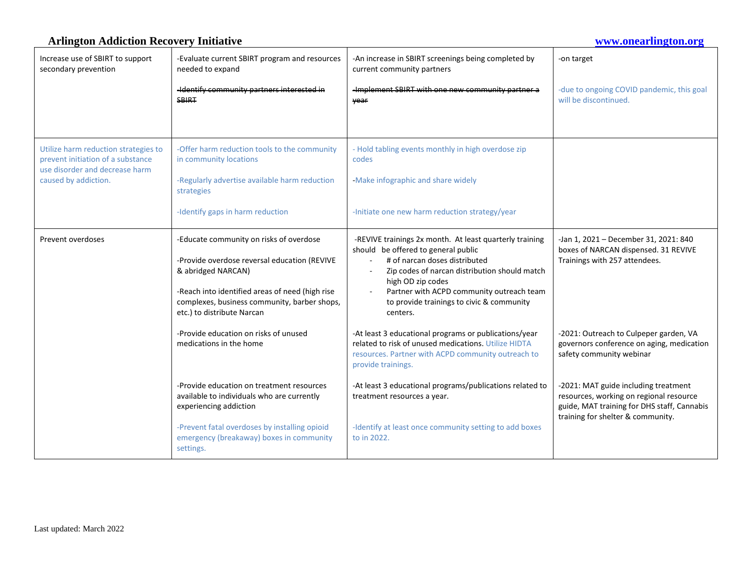#### **Arlington Addiction Recovery Initiative [www.onearlington.org](http://www.onearlington.org/)** Increase use of SBIRT to support secondary prevention -Evaluate current SBIRT program and resources needed to expand -Identify community partners interested in SBIRT -An increase in SBIRT screenings being completed by current community partners -Implement SBIRT with one new community partner a year -on target -due to ongoing COVID pandemic, this goal will be discontinued. Utilize harm reduction strategies to prevent initiation of a substance use disorder and decrease harm caused by addiction. -Offer harm reduction tools to the community in community locations -Regularly advertise available harm reduction strategies -Identify gaps in harm reduction - Hold tabling events monthly in high overdose zip codes -Make infographic and share widely -Initiate one new harm reduction strategy/year Prevent overdoses  $\vert$  -Educate community on risks of overdose -Provide overdose reversal education (REVIVE & abridged NARCAN) -Reach into identified areas of need (high rise complexes, business community, barber shops, etc.) to distribute Narcan -Provide education on risks of unused medications in the home -Provide education on treatment resources available to individuals who are currently experiencing addiction -Prevent fatal overdoses by installing opioid emergency (breakaway) boxes in community settings. -REVIVE trainings 2x month. At least quarterly training should be offered to general public # of narcan doses distributed Zip codes of narcan distribution should match high OD zip codes Partner with ACPD community outreach team to provide trainings to civic & community centers. -At least 3 educational programs or publications/year related to risk of unused medications. Utilize HIDTA resources. Partner with ACPD community outreach to provide trainings. -At least 3 educational programs/publications related to treatment resources a year. -Identify at least once community setting to add boxes to in 2022. -Jan 1, 2021 – December 31, 2021: 840 boxes of NARCAN dispensed. 31 REVIVE Trainings with 257 attendees. -2021: Outreach to Culpeper garden, VA governors conference on aging, medication safety community webinar -2021: MAT guide including treatment resources, working on regional resource guide, MAT training for DHS staff, Cannabis training for shelter & community.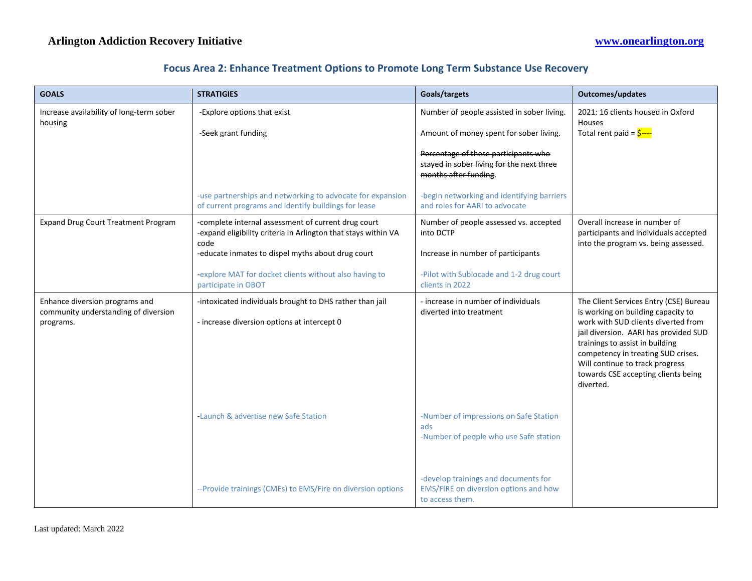| <b>GOALS</b>                                                                        | <b>STRATIGIES</b>                                                                                                             | Goals/targets                                                                                              | <b>Outcomes/updates</b>                                                                                                                                                                                                                                                                                                      |
|-------------------------------------------------------------------------------------|-------------------------------------------------------------------------------------------------------------------------------|------------------------------------------------------------------------------------------------------------|------------------------------------------------------------------------------------------------------------------------------------------------------------------------------------------------------------------------------------------------------------------------------------------------------------------------------|
| Increase availability of long-term sober<br>housing                                 | -Explore options that exist                                                                                                   | Number of people assisted in sober living.                                                                 | 2021: 16 clients housed in Oxford<br>Houses                                                                                                                                                                                                                                                                                  |
|                                                                                     | -Seek grant funding                                                                                                           | Amount of money spent for sober living.                                                                    | Total rent paid = $\frac{1}{2}$ ----                                                                                                                                                                                                                                                                                         |
|                                                                                     |                                                                                                                               | Percentage of these participants who<br>stayed in sober living for the next three<br>months after funding. |                                                                                                                                                                                                                                                                                                                              |
|                                                                                     | -use partnerships and networking to advocate for expansion<br>of current programs and identify buildings for lease            | -begin networking and identifying barriers<br>and roles for AARI to advocate                               |                                                                                                                                                                                                                                                                                                                              |
| <b>Expand Drug Court Treatment Program</b>                                          | -complete internal assessment of current drug court<br>-expand eligibility criteria in Arlington that stays within VA<br>code | Number of people assessed vs. accepted<br>into DCTP                                                        | Overall increase in number of<br>participants and individuals accepted                                                                                                                                                                                                                                                       |
|                                                                                     | -educate inmates to dispel myths about drug court                                                                             | Increase in number of participants                                                                         | into the program vs. being assessed.                                                                                                                                                                                                                                                                                         |
|                                                                                     | -explore MAT for docket clients without also having to<br>participate in OBOT                                                 | -Pilot with Sublocade and 1-2 drug court<br>clients in 2022                                                |                                                                                                                                                                                                                                                                                                                              |
| Enhance diversion programs and<br>community understanding of diversion<br>programs. | -intoxicated individuals brought to DHS rather than jail<br>- increase diversion options at intercept 0                       | - increase in number of individuals<br>diverted into treatment                                             | The Client Services Entry (CSE) Bureau<br>is working on building capacity to<br>work with SUD clients diverted from<br>jail diversion. AARI has provided SUD<br>trainings to assist in building<br>competency in treating SUD crises.<br>Will continue to track progress<br>towards CSE accepting clients being<br>diverted. |
|                                                                                     | -Launch & advertise new Safe Station                                                                                          | -Number of impressions on Safe Station<br>ads<br>-Number of people who use Safe station                    |                                                                                                                                                                                                                                                                                                                              |
|                                                                                     | -- Provide trainings (CMEs) to EMS/Fire on diversion options                                                                  | -develop trainings and documents for<br>EMS/FIRE on diversion options and how<br>to access them.           |                                                                                                                                                                                                                                                                                                                              |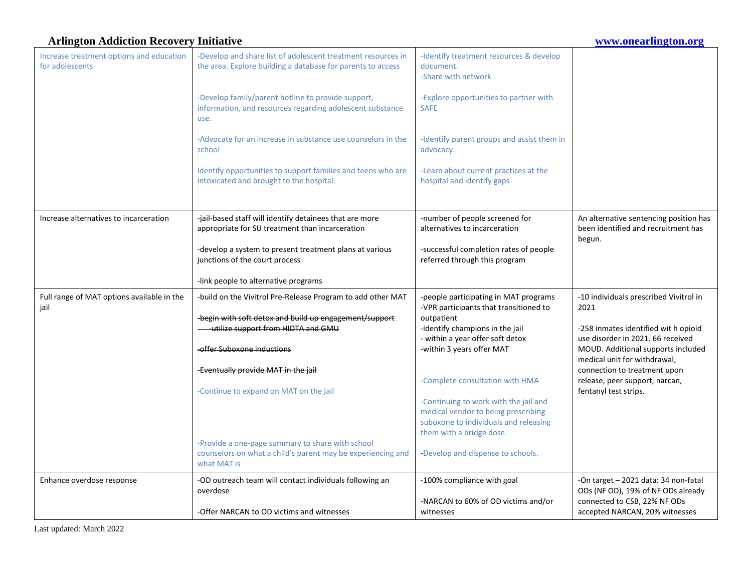#### **Arlington Addiction Recovery Initiative [www.onearlington.org](http://www.onearlington.org/)** Increase treatment options and education for adolescents -Develop and share list of adolescent treatment resources in the area. Explore building a database for parents to access -Develop family/parent hotline to provide support, information, and resources regarding adolescent substance use. -Advocate for an increase in substance use counselors in the school Identify opportunities to support families and teens who are intoxicated and brought to the hospital. -Identify treatment resources & develop document. -Share with network -Explore opportunities to partner with SAFE -Identify parent groups and assist them in advocacy. -Learn about current practices at the hospital and identify gaps Increase alternatives to incarceration | -jail-based staff will identify detainees that are more appropriate for SU treatment than incarceration -develop a system to present treatment plans at various junctions of the court process -link people to alternative programs -number of people screened for alternatives to incarceration -successful completion rates of people referred through this program An alternative sentencing position has been identified and recruitment has begun. Full range of MAT options available in the jail -build on the Vivitrol Pre-Release Program to add other MAT -begin with soft detox and build up engagement/support -utilize support from HIDTA and GMU -offer Suboxone inductions -Eventually provide MAT in the jail -Continue to expand on MAT on the jail -Provide a one-page summary to share with school counselors on what a child's parent may be experiencing and what MAT is -people participating in MAT programs -VPR participants that transitioned to outpatient -identify champions in the jail - within a year offer soft detox -within 3 years offer MAT -Complete consultation with HMA -Continuing to work with the jail and medical vendor to being prescribing suboxone to individuals and releasing them with a bridge dose. -Develop and dispense to schools. -10 individuals prescribed Vivitrol in 2021 -258 inmates identified wit h opioid use disorder in 2021. 66 received MOUD. Additional supports included medical unit for withdrawal, connection to treatment upon release, peer support, narcan, fentanyl test strips. Enhance overdose response  $\vert$  -OD outreach team will contact individuals following an overdose -Offer NARCAN to OD victims and witnesses -100% compliance with goal -NARCAN to 60% of OD victims and/or witnesses -On target – 2021 data: 34 non-fatal ODs (NF OD), 19% of NF ODs already connected to CSB, 22% NF ODs accepted NARCAN, 20% witnesses

Last updated: March 2022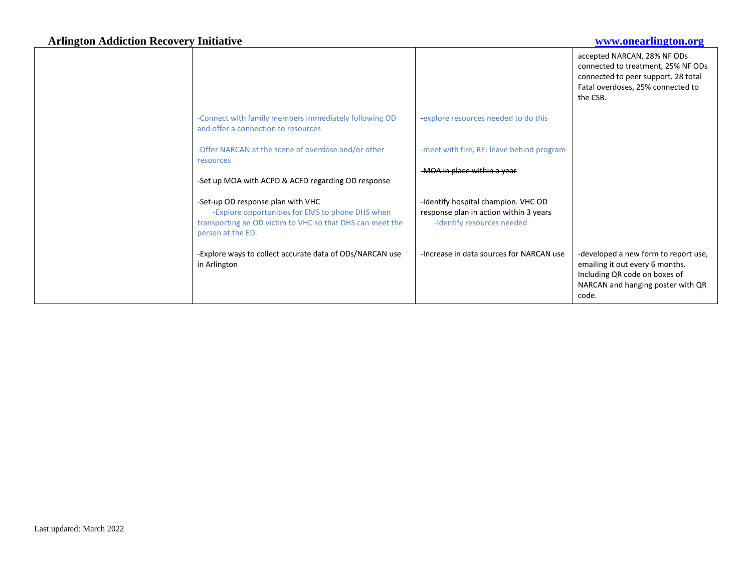|                                                                                                                                                                         |                                                                                                             | accepted NARCAN, 28% NF ODs<br>connected to treatment, 25% NF ODs<br>connected to peer support. 28 total<br>Fatal overdoses, 25% connected to<br>the CSB. |
|-------------------------------------------------------------------------------------------------------------------------------------------------------------------------|-------------------------------------------------------------------------------------------------------------|-----------------------------------------------------------------------------------------------------------------------------------------------------------|
| -Connect with family members immediately following OD<br>and offer a connection to resources                                                                            | -explore resources needed to do this                                                                        |                                                                                                                                                           |
| -Offer NARCAN at the scene of overdose and/or other<br>resources                                                                                                        | -meet with fire, RE: leave behind program                                                                   |                                                                                                                                                           |
| -Set up MOA with ACPD & ACFD regarding OD response                                                                                                                      | -MOA in place within a year                                                                                 |                                                                                                                                                           |
|                                                                                                                                                                         |                                                                                                             |                                                                                                                                                           |
| -Set-up OD response plan with VHC<br>-Explore opportunities for EMS to phone DHS when<br>transporting an OD victim to VHC so that DHS can meet the<br>person at the ED. | -Identify hospital champion. VHC OD<br>response plan in action within 3 years<br>-Identify resources needed |                                                                                                                                                           |
| -Explore ways to collect accurate data of ODs/NARCAN use<br>in Arlington                                                                                                | -Increase in data sources for NARCAN use                                                                    | -developed a new form to report use,<br>emailing it out every 6 months.<br>Including QR code on boxes of<br>NARCAN and hanging poster with QR<br>code.    |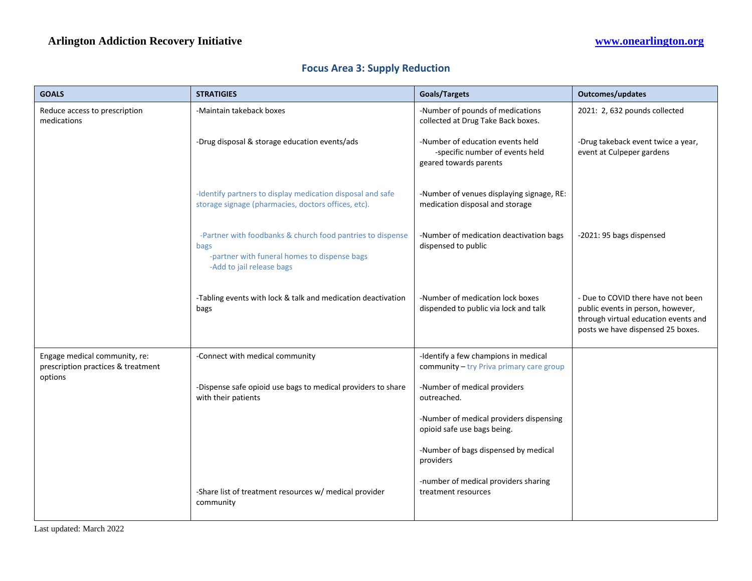| <b>GOALS</b>                                                                   | <b>STRATIGIES</b>                                                                                                                               | <b>Goals/Targets</b>                                                                          | <b>Outcomes/updates</b>                                                                                                                              |
|--------------------------------------------------------------------------------|-------------------------------------------------------------------------------------------------------------------------------------------------|-----------------------------------------------------------------------------------------------|------------------------------------------------------------------------------------------------------------------------------------------------------|
| Reduce access to prescription<br>medications                                   | -Maintain takeback boxes                                                                                                                        | -Number of pounds of medications<br>collected at Drug Take Back boxes.                        | 2021: 2, 632 pounds collected                                                                                                                        |
|                                                                                | -Drug disposal & storage education events/ads                                                                                                   | -Number of education events held<br>-specific number of events held<br>geared towards parents | -Drug takeback event twice a year,<br>event at Culpeper gardens                                                                                      |
|                                                                                | -Identify partners to display medication disposal and safe<br>storage signage (pharmacies, doctors offices, etc).                               | -Number of venues displaying signage, RE:<br>medication disposal and storage                  |                                                                                                                                                      |
|                                                                                | -Partner with foodbanks & church food pantries to dispense<br>bags<br>-partner with funeral homes to dispense bags<br>-Add to jail release bags | -Number of medication deactivation bags<br>dispensed to public                                | -2021: 95 bags dispensed                                                                                                                             |
|                                                                                | -Tabling events with lock & talk and medication deactivation<br>bags                                                                            | -Number of medication lock boxes<br>dispended to public via lock and talk                     | - Due to COVID there have not been<br>public events in person, however,<br>through virtual education events and<br>posts we have dispensed 25 boxes. |
| Engage medical community, re:<br>prescription practices & treatment<br>options | -Connect with medical community                                                                                                                 | -Identify a few champions in medical<br>community - try Priva primary care group              |                                                                                                                                                      |
|                                                                                | -Dispense safe opioid use bags to medical providers to share<br>with their patients                                                             | -Number of medical providers<br>outreached.                                                   |                                                                                                                                                      |
|                                                                                |                                                                                                                                                 | -Number of medical providers dispensing<br>opioid safe use bags being.                        |                                                                                                                                                      |
|                                                                                |                                                                                                                                                 | -Number of bags dispensed by medical<br>providers                                             |                                                                                                                                                      |
|                                                                                | -Share list of treatment resources w/ medical provider<br>community                                                                             | -number of medical providers sharing<br>treatment resources                                   |                                                                                                                                                      |

## **Focus Area 3: Supply Reduction**

Last updated: March 2022